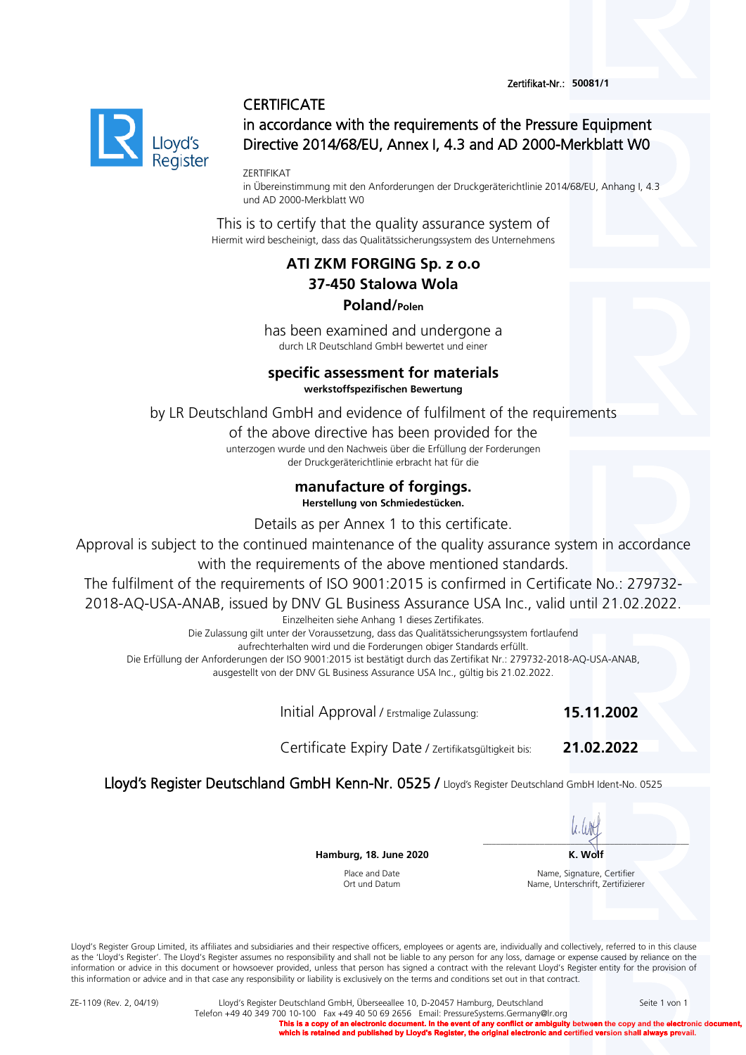Zertifikat-Nr.: **50081/1** 

### **CERTIFICATE**



in accordance with the requirements of the Pressure Equipment Directive 2014/68/EU, Annex I, 4.3 and AD 2000-Merkblatt W0

ZERTIFIKAT

in Übereinstimmung mit den Anforderungen der Druckgeräterichtlinie 2014/68/EU, Anhang I, 4.3 und AD 2000-Merkblatt W0

This is to certify that the quality assurance system of Hiermit wird bescheinigt, dass das Qualitätssicherungssystem des Unternehmens

# **ATI ZKM FORGING Sp. z o.o 37-450 Stalowa Wola Poland/Polen**

has been examined and undergone a durch LR Deutschland GmbH bewertet und einer

#### **specific assessment for materials werkstoffspezifischen Bewertung**

by LR Deutschland GmbH and evidence of fulfilment of the requirements

of the above directive has been provided for the unterzogen wurde und den Nachweis über die Erfüllung der Forderungen der Druckgeräterichtlinie erbracht hat für die

## **manufacture of forgings.**

**Herstellung von Schmiedestücken.** 

Details as per Annex 1 to this certificate.

Approval is subject to the continued maintenance of the quality assurance system in accordance

with the requirements of the above mentioned standards.

The fulfilment of the requirements of ISO 9001:2015 is confirmed in Certificate No.: 279732-

2018-AQ-USA-ANAB, issued by DNV GL Business Assurance USA Inc., valid until 21.02.2022.

Einzelheiten siehe Anhang 1 dieses Zertifikates.

Die Zulassung gilt unter der Voraussetzung, dass das Qualitätssicherungssystem fortlaufend

aufrechterhalten wird und die Forderungen obiger Standards erfüllt.

Die Erfüllung der Anforderungen der ISO 9001:2015 ist bestätigt durch das Zertifikat Nr.: 279732-2018-AQ-USA-ANAB,

ausgestellt von der DNV GL Business Assurance USA Inc., gültig bis 21.02.2022.

Initial Approval / Erstmalige Zulassung: **15.11.2002**

Certificate Expiry Date / Zertifikatsgültigkeit bis: **21.02.2022**

Lloyd's Register Deutschland GmbH Kenn-Nr. 0525 / Lloyd's Register Deutschland GmbH Ident-No. 0525

 $\overline{\phantom{a}}$  , and the set of the set of the set of the set of the set of the set of the set of the set of the set of the set of the set of the set of the set of the set of the set of the set of the set of the set of the s

**Hamburg, 18. June 2020 K. Wolf**

Place and Date Ort und Datum

Name, Signature, Certifier Name, Unterschrift, Zertifizierer

Lloyd's Register Group Limited, its affiliates and subsidiaries and their respective officers, employees or agents are, individually and collectively, referred to in this clause as the 'Lloyd's Register'. The Lloyd's Register assumes no responsibility and shall not be liable to any person for any loss, damage or expense caused by reliance on the information or advice in this document or howsoever provided, unless that person has signed a contract with the relevant Lloyd's Register entity for the provision of this information or advice and in that case any responsibility or liability is exclusively on the terms and conditions set out in that contract.